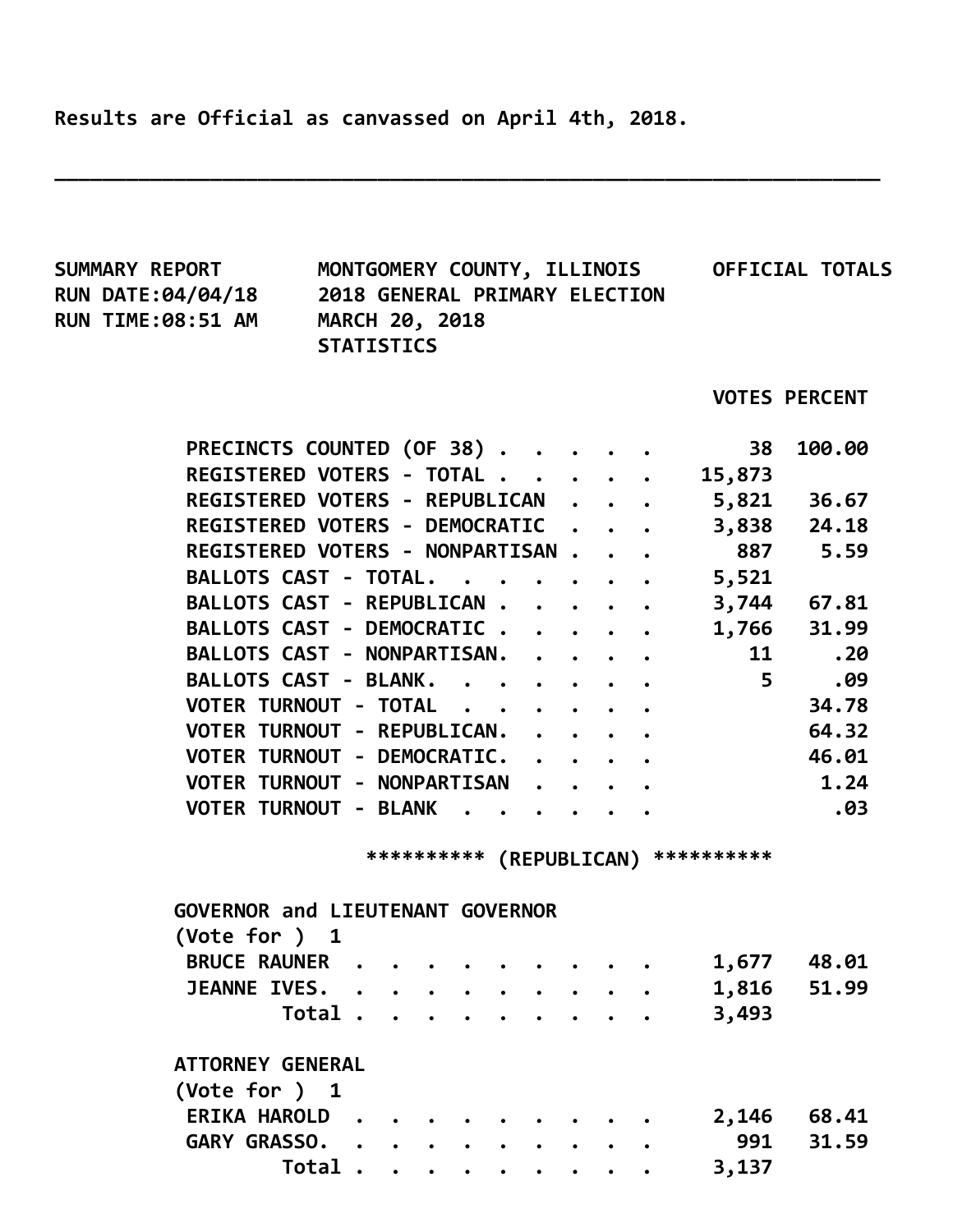Results are Official as canvassed on April 4th, 2018.

\_\_\_\_\_\_\_\_\_\_\_\_\_\_\_\_\_\_\_\_\_\_\_\_\_\_\_\_\_\_\_\_\_\_\_\_\_\_\_\_\_\_\_\_\_\_\_\_\_\_\_\_\_\_\_\_\_\_\_\_\_\_\_\_\_\_\_\_\_

| <b>SUMMARY REPORT</b>                      |                               |  |  |                     |  |  |                                      | MONTGOMERY COUNTY, ILLINOIS OFFICIAL TOTALS |  |
|--------------------------------------------|-------------------------------|--|--|---------------------|--|--|--------------------------------------|---------------------------------------------|--|
| <b>RUN DATE:04/04/18</b>                   | 2018 GENERAL PRIMARY ELECTION |  |  |                     |  |  |                                      |                                             |  |
| <b>RUN TIME:08:51 AM</b>                   | <b>MARCH 20, 2018</b>         |  |  |                     |  |  |                                      |                                             |  |
|                                            | <b>STATISTICS</b>             |  |  |                     |  |  |                                      |                                             |  |
|                                            |                               |  |  |                     |  |  |                                      |                                             |  |
|                                            |                               |  |  |                     |  |  |                                      | <b>VOTES PERCENT</b>                        |  |
| PRECINCTS COUNTED (OF 38)                  |                               |  |  |                     |  |  | 38                                   | 100.00                                      |  |
| REGISTERED VOTERS - TOTAL                  |                               |  |  |                     |  |  | 15,873                               |                                             |  |
| REGISTERED VOTERS - REPUBLICAN 5,821 36.67 |                               |  |  |                     |  |  |                                      |                                             |  |
| REGISTERED VOTERS - DEMOCRATIC 3,838 24.18 |                               |  |  |                     |  |  |                                      |                                             |  |
| REGISTERED VOTERS - NONPARTISAN            |                               |  |  |                     |  |  |                                      | 887 5.59                                    |  |
| <b>BALLOTS CAST - TOTAL.</b>               |                               |  |  |                     |  |  | $\cdots$ 5,521                       |                                             |  |
| BALLOTS CAST - REPUBLICAN                  |                               |  |  |                     |  |  |                                      | 3,744 67.81                                 |  |
| BALLOTS CAST - DEMOCRATIC                  |                               |  |  |                     |  |  |                                      | 1,766 31.99                                 |  |
| BALLOTS CAST - NONPARTISAN.                |                               |  |  |                     |  |  |                                      | 11 —<br>.20                                 |  |
| BALLOTS CAST - BLANK.                      |                               |  |  |                     |  |  | $\overline{\phantom{0}}$ 5           | .09                                         |  |
| VOTER TURNOUT - TOTAL                      |                               |  |  |                     |  |  |                                      | 34.78                                       |  |
| VOTER TURNOUT - REPUBLICAN.                |                               |  |  |                     |  |  |                                      | 64.32                                       |  |
| VOTER TURNOUT - DEMOCRATIC.                |                               |  |  |                     |  |  |                                      | 46.01                                       |  |
| VOTER TURNOUT - NONPARTISAN                |                               |  |  |                     |  |  |                                      | 1.24                                        |  |
| VOTER TURNOUT - BLANK                      |                               |  |  |                     |  |  |                                      | .03                                         |  |
|                                            |                               |  |  |                     |  |  |                                      |                                             |  |
|                                            |                               |  |  |                     |  |  | *********** (REPUBLICAN) *********** |                                             |  |
| <b>GOVERNOR and LIEUTENANT GOVERNOR</b>    |                               |  |  |                     |  |  |                                      |                                             |  |
| (Vote for ) 1                              |                               |  |  |                     |  |  |                                      |                                             |  |
| BRUCE RAUNER                               |                               |  |  |                     |  |  | 1,677                                | 48.01                                       |  |
| <b>JEANNE IVES. .</b>                      |                               |  |  |                     |  |  | 1,816                                | 51.99                                       |  |
|                                            | Total                         |  |  |                     |  |  | 3,493                                |                                             |  |
| <b>ATTORNEY GENERAL</b>                    |                               |  |  |                     |  |  |                                      |                                             |  |
| (Vote for ) 1                              |                               |  |  |                     |  |  |                                      |                                             |  |
| ERIKA HAROLD.                              |                               |  |  |                     |  |  | 2,146                                | 68.41                                       |  |
| GARY GRASSO.                               |                               |  |  | $\bullet$ $\bullet$ |  |  | 991                                  | 31.59                                       |  |
|                                            | Total                         |  |  |                     |  |  | 3,137                                |                                             |  |
|                                            |                               |  |  |                     |  |  |                                      |                                             |  |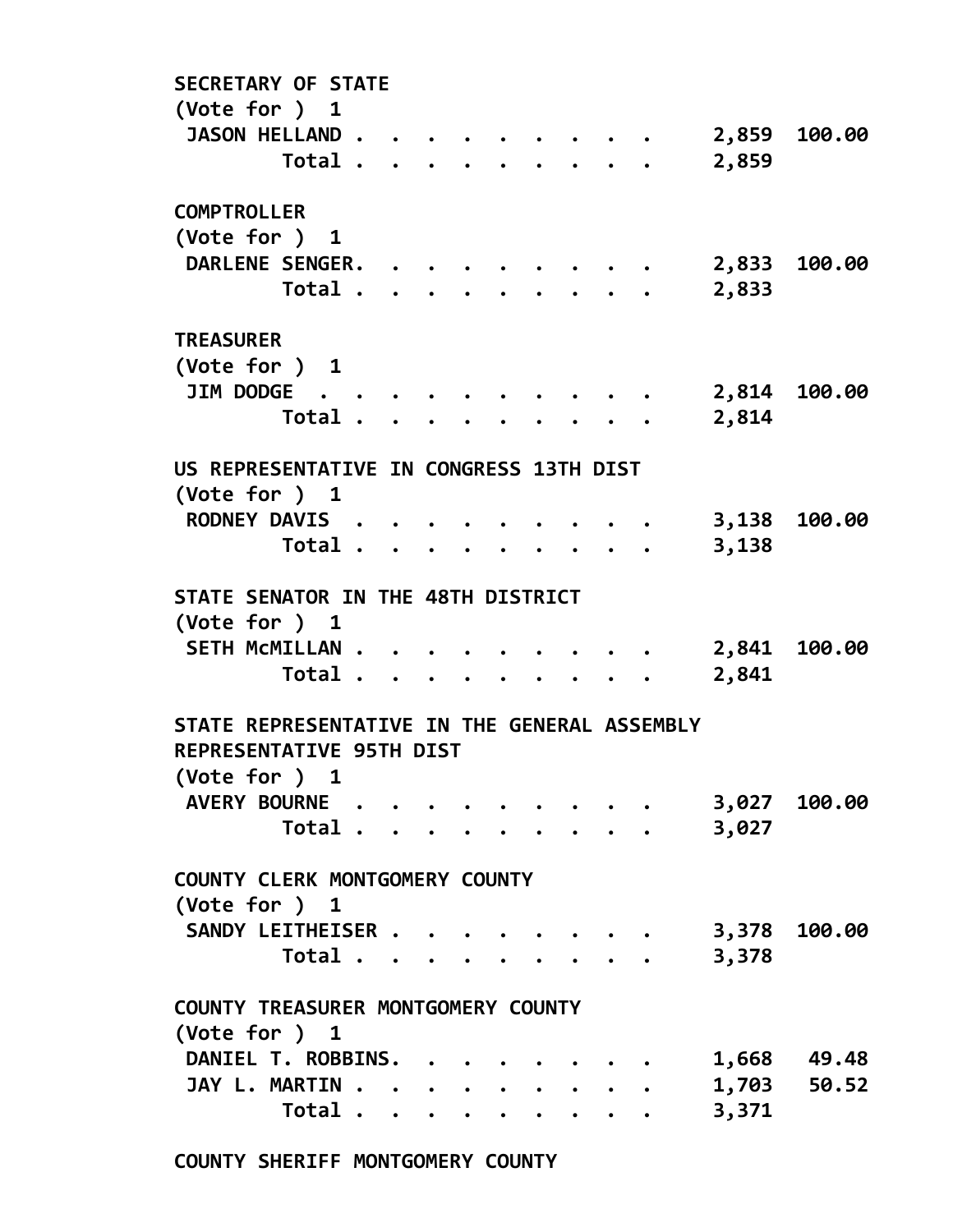SECRETARY OF STATE (Vote for ) 1 JASON HELLAND . . . . . . . . . . 2,859 100.00 Total . . . . . . . . . 2,859 **COMPTROLLER** (Vote for ) 1 DARLENE SENGER. . . . . . . . . 2,833 100.00 Total . . . . . . . . . 2,833 TREASURER (Vote for ) 1 JIM DODGE . . . . . . . . . . 2,814 100.00 Total . . . . . . . . . 2,814 US REPRESENTATIVE IN CONGRESS 13TH DIST (Vote for ) 1 RODNEY DAVIS . . . . . . . . . 3,138 100.00 Total . . . . . . . . . 3,138 STATE SENATOR IN THE 48TH DISTRICT (Vote for ) 1 SETH MCMILLAN . . . . . . . . . . 2,841 100.00 Total . . . . . . . . . 2,841 STATE REPRESENTATIVE IN THE GENERAL ASSEMBLY REPRESENTATIVE 95TH DIST (Vote for ) 1 AVERY BOURNE . . . . . . . . . 3,027 100.00 Total . . . . . . . . . 3,027 COUNTY CLERK MONTGOMERY COUNTY (Vote for ) 1 SANDY LEITHEISER . . . . . . . . 3,378 100.00 Total . . . . . . . . . 3,378 COUNTY TREASURER MONTGOMERY COUNTY (Vote for ) 1 DANIEL T. ROBBINS. . . . . . . . 1,668 49.48 JAY L. MARTIN . . . . . . . . . . 1,703 50.52 Total . . . . . . . . . 3,371

COUNTY SHERIFF MONTGOMERY COUNTY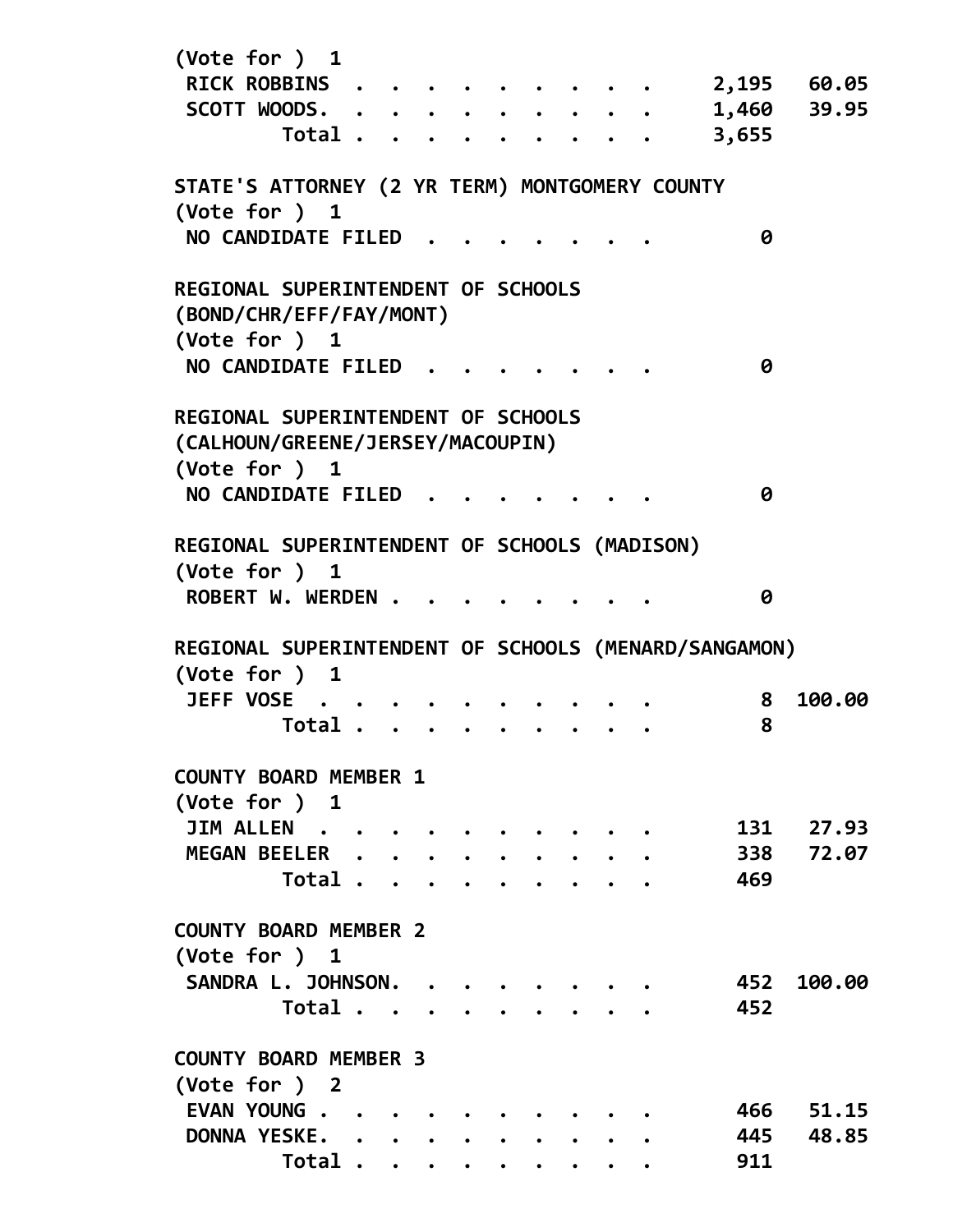| (Vote for ) 1                                                 |  |  |  |  |       |           |
|---------------------------------------------------------------|--|--|--|--|-------|-----------|
| RICK ROBBINS .                                                |  |  |  |  | 2,195 | 60.05     |
| SCOTT WOODS.                                                  |  |  |  |  | 1,460 | 39.95     |
| Total                                                         |  |  |  |  | 3,655 |           |
| STATE'S ATTORNEY (2 YR TERM) MONTGOMERY COUNTY                |  |  |  |  |       |           |
| (Vote for ) 1                                                 |  |  |  |  |       |           |
| NO CANDIDATE FILED                                            |  |  |  |  | 0     |           |
| REGIONAL SUPERINTENDENT OF SCHOOLS<br>(BOND/CHR/EFF/FAY/MONT) |  |  |  |  |       |           |
| (Vote for ) 1                                                 |  |  |  |  |       |           |
| NO CANDIDATE FILED                                            |  |  |  |  | 0     |           |
| REGIONAL SUPERINTENDENT OF SCHOOLS                            |  |  |  |  |       |           |
| (CALHOUN/GREENE/JERSEY/MACOUPIN)                              |  |  |  |  |       |           |
| (Vote for ) 1                                                 |  |  |  |  |       |           |
| NO CANDIDATE FILED                                            |  |  |  |  | 0     |           |
| <b>REGIONAL SUPERINTENDENT OF SCHOOLS (MADISON)</b>           |  |  |  |  |       |           |
| (Vote for ) 1                                                 |  |  |  |  |       |           |
| ROBERT W. WERDEN .                                            |  |  |  |  | 0     |           |
| REGIONAL SUPERINTENDENT OF SCHOOLS (MENARD/SANGAMON)          |  |  |  |  |       |           |
| (Vote for ) 1                                                 |  |  |  |  |       |           |
| JEFF VOSE                                                     |  |  |  |  | 8     | 100.00    |
| Total                                                         |  |  |  |  | 8     |           |
| <b>COUNTY BOARD MEMBER 1</b>                                  |  |  |  |  |       |           |
| (Vote for ) 1                                                 |  |  |  |  |       |           |
| JIM ALLEN                                                     |  |  |  |  |       | 131 27.93 |
| MEGAN BEELER                                                  |  |  |  |  | 338   | 72.07     |
| Total                                                         |  |  |  |  | 469   |           |
| <b>COUNTY BOARD MEMBER 2</b>                                  |  |  |  |  |       |           |
| (Vote for ) 1                                                 |  |  |  |  |       |           |
| SANDRA L. JOHNSON.                                            |  |  |  |  | 452   | 100.00    |
| Total                                                         |  |  |  |  | 452   |           |
| <b>COUNTY BOARD MEMBER 3</b>                                  |  |  |  |  |       |           |
| (Vote for ) 2                                                 |  |  |  |  |       |           |
| EVAN YOUNG                                                    |  |  |  |  |       | 466 51.15 |
| DONNA YESKE.                                                  |  |  |  |  | 445   | 48.85     |
| Total                                                         |  |  |  |  | 911   |           |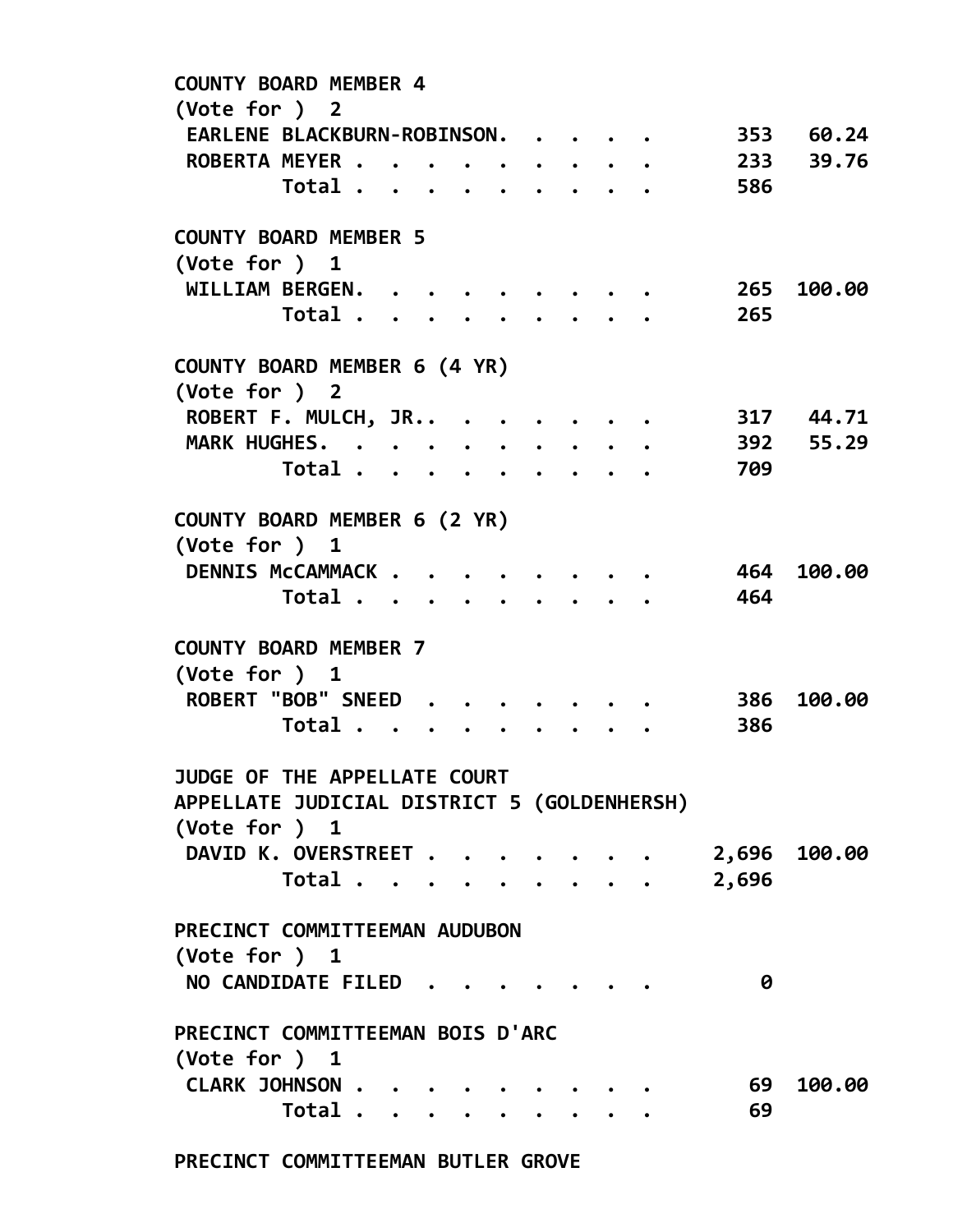| <b>COUNTY BOARD MEMBER 4</b><br>(Vote for ) 2 |                |                 |  |  |                                                   |       |              |
|-----------------------------------------------|----------------|-----------------|--|--|---------------------------------------------------|-------|--------------|
| EARLENE BLACKBURN-ROBINSON.                   |                |                 |  |  |                                                   | 353   | 60.24        |
| ROBERTA MEYER                                 |                |                 |  |  | $\bullet$ $\bullet$ $\bullet$ $\bullet$ $\bullet$ | 233   | 39.76        |
|                                               | Total          |                 |  |  |                                                   | 586   |              |
|                                               |                |                 |  |  |                                                   |       |              |
| <b>COUNTY BOARD MEMBER 5</b>                  |                |                 |  |  |                                                   |       |              |
| (Vote for ) 1                                 |                |                 |  |  |                                                   |       |              |
| WILLIAM BERGEN.                               |                |                 |  |  |                                                   |       | 265 100.00   |
|                                               | Total          |                 |  |  | $\ddot{\phantom{a}}$                              | 265   |              |
| COUNTY BOARD MEMBER 6 (4 YR)                  |                |                 |  |  |                                                   |       |              |
| (Vote for ) 2                                 |                |                 |  |  |                                                   |       |              |
| ROBERT F. MULCH, JR                           |                |                 |  |  |                                                   |       | 317 44.71    |
| MARK HUGHES.                                  |                |                 |  |  |                                                   |       | 392 55.29    |
|                                               | Total          |                 |  |  |                                                   | 709   |              |
| COUNTY BOARD MEMBER 6 (2 YR)                  |                |                 |  |  |                                                   |       |              |
| (Vote for ) 1                                 |                |                 |  |  |                                                   |       |              |
| DENNIS McCAMMACK                              |                |                 |  |  |                                                   |       | 464 100.00   |
|                                               | Total          |                 |  |  |                                                   | 464   |              |
|                                               |                | $\cdot$ $\cdot$ |  |  |                                                   |       |              |
| <b>COUNTY BOARD MEMBER 7</b>                  |                |                 |  |  |                                                   |       |              |
| (Vote for ) 1                                 |                |                 |  |  |                                                   |       |              |
| ROBERT "BOB" SNEED.                           |                |                 |  |  |                                                   | 386   | 100.00       |
|                                               | Total          |                 |  |  |                                                   | 386   |              |
| JUDGE OF THE APPELLATE COURT                  |                |                 |  |  |                                                   |       |              |
| APPELLATE JUDICIAL DISTRICT 5 (GOLDENHERSH)   |                |                 |  |  |                                                   |       |              |
| (Vote for ) 1                                 |                |                 |  |  |                                                   |       |              |
| DAVID K. OVERSTREET                           |                |                 |  |  |                                                   |       | 2,696 100.00 |
|                                               | Total $\cdots$ |                 |  |  |                                                   |       |              |
|                                               |                |                 |  |  |                                                   | 2,696 |              |
| PRECINCT COMMITTEEMAN AUDUBON                 |                |                 |  |  |                                                   |       |              |
| (Vote for ) 1                                 |                |                 |  |  |                                                   |       |              |
| NO CANDIDATE FILED                            |                |                 |  |  |                                                   | 0     |              |
|                                               |                |                 |  |  |                                                   |       |              |
| PRECINCT COMMITTEEMAN BOIS D'ARC              |                |                 |  |  |                                                   |       |              |
| $(\text{Vote for })$ 1                        |                |                 |  |  |                                                   |       |              |
| CLARK JOHNSON                                 |                |                 |  |  |                                                   | 69    | 100.00       |
|                                               | Total          |                 |  |  |                                                   | 69    |              |
|                                               |                |                 |  |  |                                                   |       |              |

PRECINCT COMMITTEEMAN BUTLER GROVE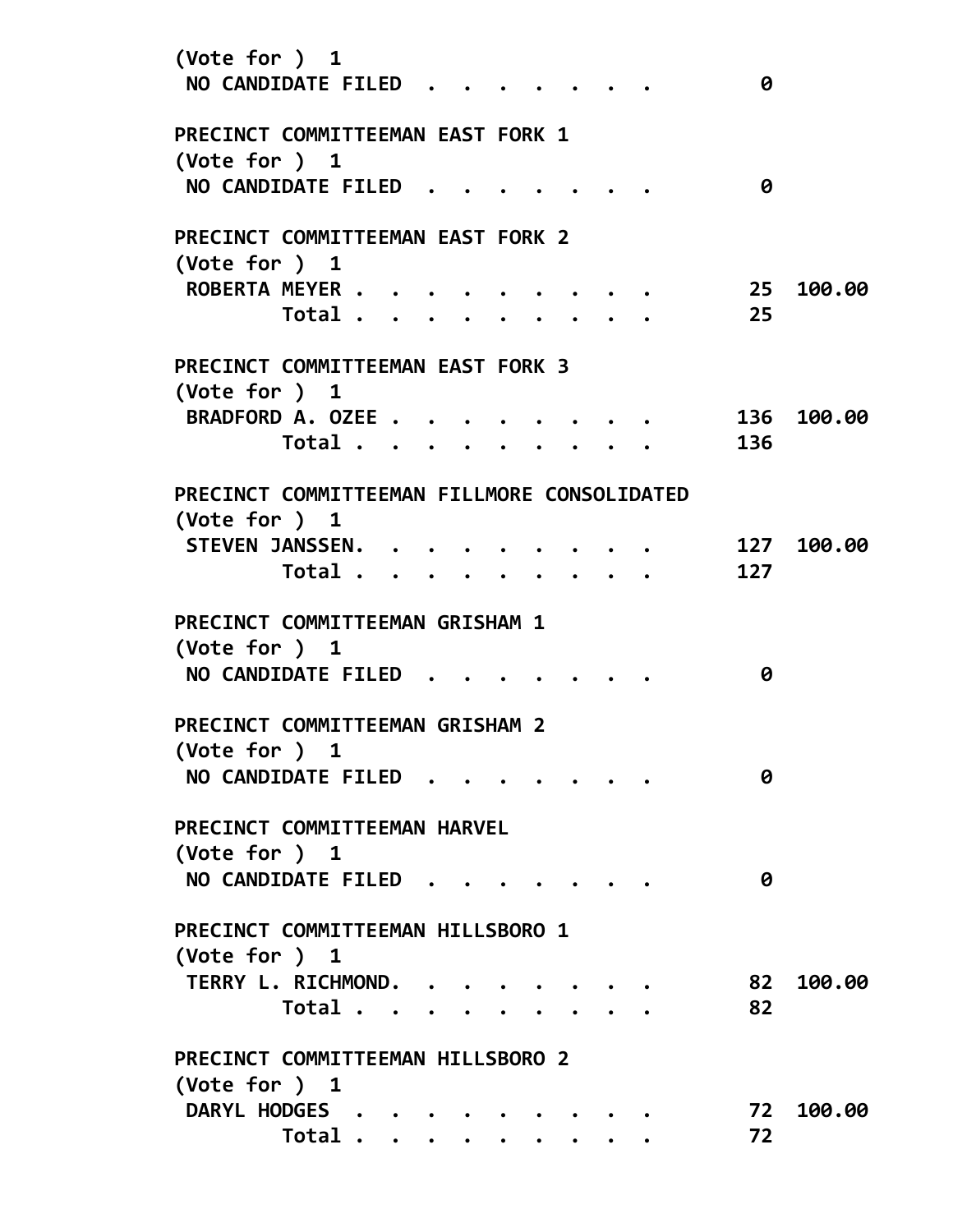| (Vote for ) 1<br>NO CANDIDATE FILED                         |         |  |  |  |  | 0   |        |
|-------------------------------------------------------------|---------|--|--|--|--|-----|--------|
| PRECINCT COMMITTEEMAN EAST FORK 1<br>(Vote for $)$ 1        |         |  |  |  |  |     |        |
| <b>NO CANDIDATE FILED</b>                                   |         |  |  |  |  | 0   |        |
| PRECINCT COMMITTEEMAN EAST FORK 2<br>(Vote for ) 1          |         |  |  |  |  |     |        |
| ROBERTA MEYER                                               |         |  |  |  |  | -25 | 100.00 |
|                                                             | Total   |  |  |  |  | 25  |        |
| PRECINCT COMMITTEEMAN EAST FORK 3<br>$(\text{Vote for })$ 1 |         |  |  |  |  |     |        |
| <b>BRADFORD A. OZEE</b>                                     |         |  |  |  |  | 136 | 100.00 |
|                                                             | Total   |  |  |  |  | 136 |        |
| PRECINCT COMMITTEEMAN FILLMORE CONSOLIDATED                 |         |  |  |  |  |     |        |
| $(\text{Vote for })$ 1                                      |         |  |  |  |  |     |        |
| <b>STEVEN JANSSEN.</b>                                      |         |  |  |  |  | 127 | 100.00 |
|                                                             | Total . |  |  |  |  | 127 |        |
| PRECINCT COMMITTEEMAN GRISHAM 1<br>(Vote for ) $1$          |         |  |  |  |  |     |        |
| NO CANDIDATE FILED                                          |         |  |  |  |  | 0   |        |
| PRECINCT COMMITTEEMAN GRISHAM 2<br>(Vote for ) 1            |         |  |  |  |  |     |        |
| NO CANDIDATE FILED                                          |         |  |  |  |  | 0   |        |
| PRECINCT COMMITTEEMAN HARVEL<br>(Vote for ) 1               |         |  |  |  |  |     |        |
| NO CANDIDATE FILED.                                         |         |  |  |  |  | 0   |        |
| PRECINCT COMMITTEEMAN HILLSBORO 1<br>(Vote for ) 1          |         |  |  |  |  |     |        |
| TERRY L. RICHMOND.                                          |         |  |  |  |  | 82  | 100.00 |
|                                                             | Total   |  |  |  |  | 82  |        |
| PRECINCT COMMITTEEMAN HILLSBORO 2<br>(Vote for ) 1          |         |  |  |  |  |     |        |
| DARYL HODGES                                                |         |  |  |  |  | 72  | 100.00 |
|                                                             |         |  |  |  |  |     |        |
|                                                             | Total   |  |  |  |  | 72  |        |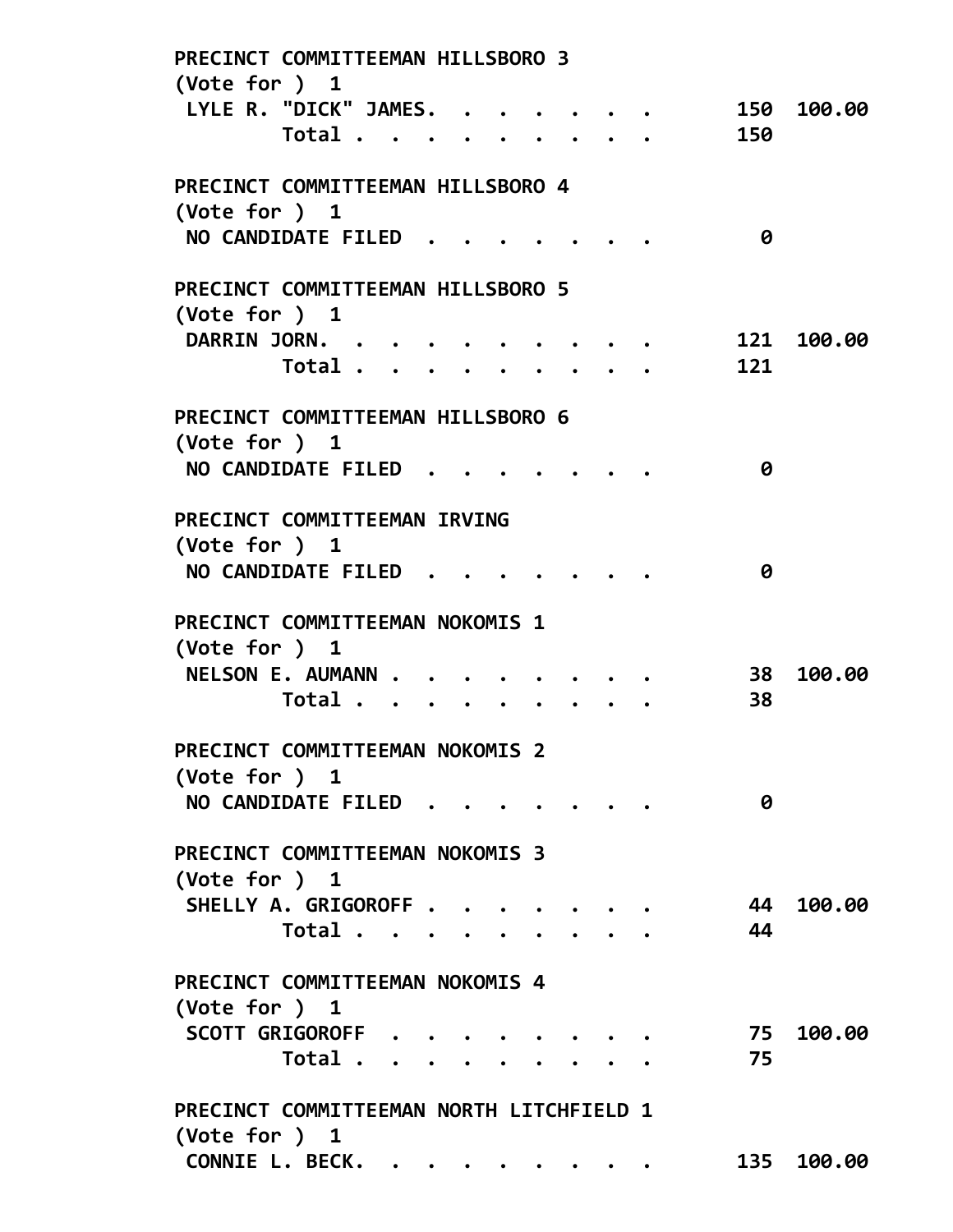| PRECINCT COMMITTEEMAN HILLSBORO 3<br>(Vote for $)$ 1 |  |  |     |            |
|------------------------------------------------------|--|--|-----|------------|
| LYLE R. "DICK" JAMES.                                |  |  |     | 150 100.00 |
| Total                                                |  |  | 150 |            |
| PRECINCT COMMITTEEMAN HILLSBORO 4                    |  |  |     |            |
| (Vote for ) 1                                        |  |  |     |            |
| NO CANDIDATE FILED                                   |  |  | 0   |            |
| PRECINCT COMMITTEEMAN HILLSBORO 5                    |  |  |     |            |
| (Vote for $)$ 1                                      |  |  |     |            |
| <b>DARRIN JORN.</b>                                  |  |  | 121 | 100.00     |
| Total                                                |  |  | 121 |            |
| PRECINCT COMMITTEEMAN HILLSBORO 6                    |  |  |     |            |
| (Vote for ) $1$                                      |  |  |     |            |
| <b>NO CANDIDATE FILED</b>                            |  |  | 0   |            |
| PRECINCT COMMITTEEMAN IRVING                         |  |  |     |            |
| (Vote for $)$ 1                                      |  |  |     |            |
| <b>NO CANDIDATE FILED</b>                            |  |  | 0   |            |
| PRECINCT COMMITTEEMAN NOKOMIS 1                      |  |  |     |            |
| (Vote for ) 1                                        |  |  |     |            |
| NELSON E. AUMANN .                                   |  |  | 38  | 100.00     |
| Total                                                |  |  | 38  |            |
| PRECINCT COMMITTEEMAN NOKOMIS 2                      |  |  |     |            |
| (Vote for ) 1                                        |  |  |     |            |
| NO CANDIDATE FILED                                   |  |  | 0   |            |
| PRECINCT COMMITTEEMAN NOKOMIS 3                      |  |  |     |            |
| $(\text{Vote for })$ 1                               |  |  |     |            |
| SHELLY A. GRIGOROFF                                  |  |  | 44  | 100.00     |
| Total                                                |  |  | 44  |            |
| PRECINCT COMMITTEEMAN NOKOMIS 4                      |  |  |     |            |
| $(\text{Vote for })$ 1                               |  |  |     |            |
| SCOTT GRIGOROFF                                      |  |  | 75  | 100.00     |
| Total                                                |  |  | 75  |            |
| PRECINCT COMMITTEEMAN NORTH LITCHFIELD 1             |  |  |     |            |
| (Vote for $)$ 1                                      |  |  |     |            |
| CONNIE L. BECK.                                      |  |  |     | 135 100.00 |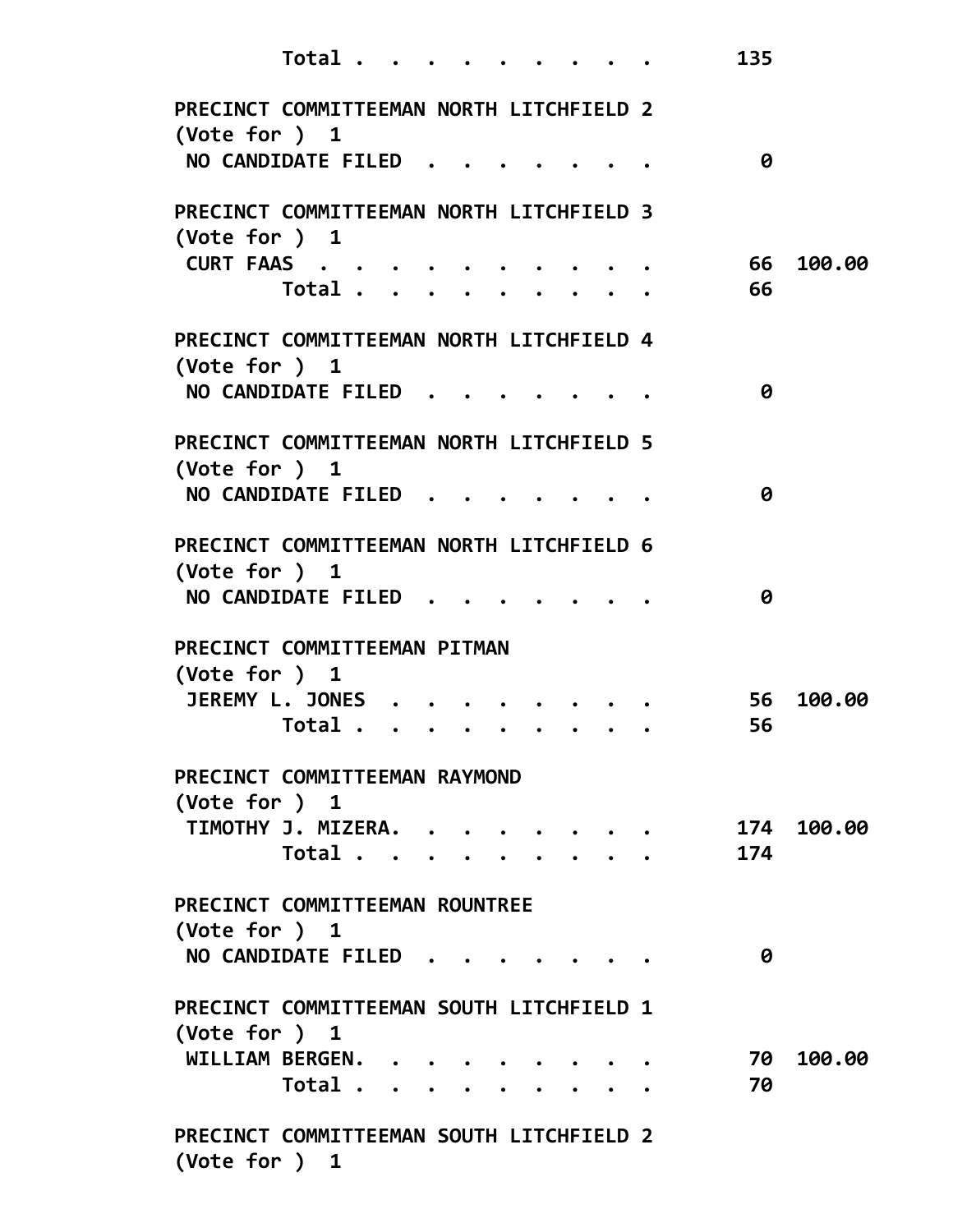| Total.                                                             | 135 |            |
|--------------------------------------------------------------------|-----|------------|
| PRECINCT COMMITTEEMAN NORTH LITCHFIELD 2<br>$(\text{Vote for })$ 1 |     |            |
| NO CANDIDATE FILED                                                 | 0   |            |
| PRECINCT COMMITTEEMAN NORTH LITCHFIELD 3<br>(Vote for $)$ 1        |     |            |
| CURT FAAS                                                          | 66  | 100.00     |
| Total                                                              | 66  |            |
| PRECINCT COMMITTEEMAN NORTH LITCHFIELD 4<br>(Vote for ) 1          |     |            |
| NO CANDIDATE FILED                                                 | 0   |            |
| PRECINCT COMMITTEEMAN NORTH LITCHFIELD 5<br>$(\text{Vote for })$ 1 |     |            |
| NO CANDIDATE FILED                                                 | 0   |            |
| PRECINCT COMMITTEEMAN NORTH LITCHFIELD 6<br>(Vote for $)$ 1        |     |            |
| NO CANDIDATE FILED.                                                | 0   |            |
| PRECINCT COMMITTEEMAN PITMAN<br>$(\text{Vote for })$ 1             |     |            |
| JEREMY L. JONES                                                    | 56  | 100.00     |
| Total                                                              | 56  |            |
| PRECINCT COMMITTEEMAN RAYMOND<br>(Vote for ) $1$                   |     |            |
| TIMOTHY J. MIZERA.                                                 |     | 174 100.00 |
| Total                                                              | 174 |            |
| PRECINCT COMMITTEEMAN ROUNTREE<br>$(\text{Vote for })$ 1           |     |            |
| NO CANDIDATE FILED                                                 | 0   |            |
| PRECINCT COMMITTEEMAN SOUTH LITCHFIELD 1<br>$(\text{Vote for })$ 1 |     |            |
| WILLIAM BERGEN.                                                    | 70  | 100.00     |
| Total<br>$\bullet$ $\bullet$ $\bullet$ $\bullet$ $\bullet$         | 70  |            |
| PRECINCT COMMITTEEMAN SOUTH LITCHFIELD 2<br>(Vote for $)$ 1        |     |            |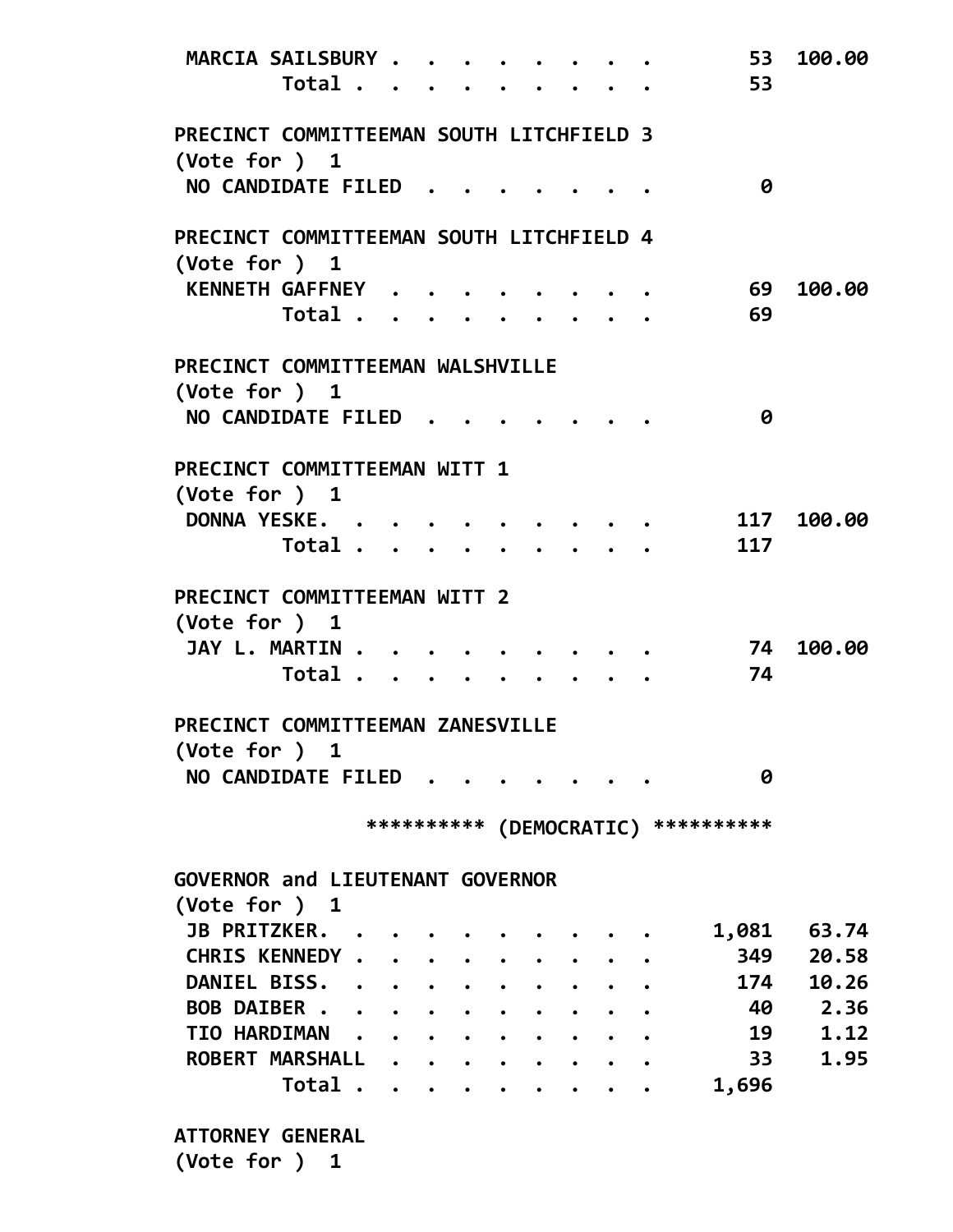| MARCIA SAILSBURY<br>Total                                   |   |  | . |  | 53<br>53                             | 100.00 |
|-------------------------------------------------------------|---|--|---|--|--------------------------------------|--------|
| PRECINCT COMMITTEEMAN SOUTH LITCHFIELD 3<br>(Vote for ) 1   |   |  |   |  |                                      |        |
| NO CANDIDATE FILED                                          |   |  |   |  | 0                                    |        |
| PRECINCT COMMITTEEMAN SOUTH LITCHFIELD 4<br>(Vote for $)$ 1 |   |  |   |  |                                      |        |
| KENNETH GAFFNEY                                             |   |  |   |  | 69                                   | 100.00 |
| Total                                                       |   |  |   |  | 69                                   |        |
|                                                             |   |  |   |  |                                      |        |
| PRECINCT COMMITTEEMAN WALSHVILLE<br>(Vote for ) $1$         |   |  |   |  |                                      |        |
| NO CANDIDATE FILED                                          |   |  |   |  | 0                                    |        |
| PRECINCT COMMITTEEMAN WITT 1<br>(Vote for ) $1$             |   |  |   |  |                                      |        |
| DONNA YESKE.                                                |   |  |   |  | 117                                  | 100.00 |
| Total                                                       |   |  |   |  | 117                                  |        |
|                                                             |   |  |   |  |                                      |        |
| PRECINCT COMMITTEEMAN WITT 2                                |   |  |   |  |                                      |        |
| (Note for ) 1                                               |   |  |   |  |                                      |        |
| JAY L. MARTIN                                               |   |  |   |  | 74                                   | 100.00 |
| Total                                                       |   |  |   |  | 74                                   |        |
| PRECINCT COMMITTEEMAN ZANESVILLE<br>(Vote for ) 1           |   |  |   |  |                                      |        |
| NO CANDIDATE FILED                                          |   |  |   |  | 0                                    |        |
|                                                             |   |  |   |  | *********** (DEMOCRATIC) *********** |        |
| <b>GOVERNOR and LIEUTENANT GOVERNOR</b>                     |   |  |   |  |                                      |        |
| (Vote for ) 1                                               |   |  |   |  |                                      |        |
| JB PRITZKER. .                                              |   |  |   |  | 1,081                                | 63.74  |
| CHRIS KENNEDY                                               |   |  |   |  | 349                                  | 20.58  |
| DANIEL BISS.                                                |   |  |   |  | 174                                  | 10.26  |
| BOB DAIBER                                                  |   |  |   |  | 40                                   | 2.36   |
| TIO HARDIMAN                                                |   |  |   |  | 19                                   | 1.12   |
| ROBERT MARSHALL                                             |   |  |   |  | 33                                   | 1.95   |
| Total                                                       | . |  |   |  | 1,696                                |        |
|                                                             |   |  |   |  |                                      |        |
| <b>ATTORNEY GENERAL</b>                                     |   |  |   |  |                                      |        |
| (Vote for ) 1                                               |   |  |   |  |                                      |        |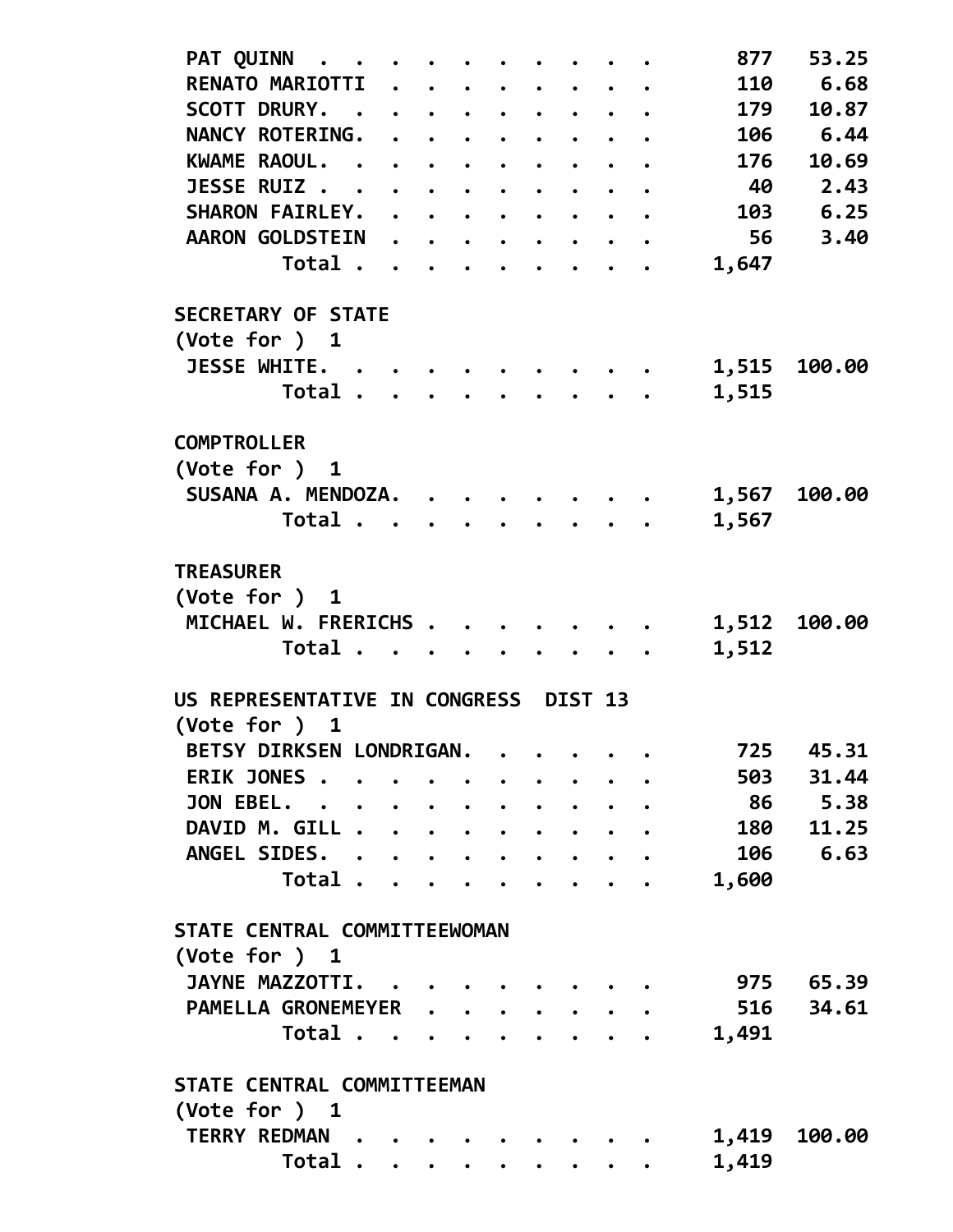| PAT QUINN<br>$\bullet$ $\bullet$      |  |                               |                                                   |                          |   | 877   | 53.25     |
|---------------------------------------|--|-------------------------------|---------------------------------------------------|--------------------------|---|-------|-----------|
| RENATO MARIOTTI                       |  |                               |                                                   |                          |   | 110   | 6.68      |
| <b>SCOTT DRURY.</b>                   |  |                               |                                                   |                          | . | 179   | 10.87     |
| NANCY ROTERING. .                     |  |                               | $\cdots$                                          |                          |   | 106   | 6.44      |
| KWAME RAOUL.                          |  | $\bullet$ $\bullet$ $\bullet$ | $\bullet$                                         |                          |   | 176   | 10.69     |
| <b>JESSE RUIZ</b>                     |  |                               | $\bullet$ $\bullet$ $\bullet$ $\bullet$ $\bullet$ |                          |   | 40    | 2.43      |
| SHARON FAIRLEY.                       |  |                               |                                                   |                          |   | 103   | 6.25      |
| <b>AARON GOLDSTEIN</b>                |  |                               |                                                   |                          | . | 56    | 3.40      |
| Total                                 |  |                               |                                                   | $\overline{\phantom{a}}$ |   | 1,647 |           |
| <b>SECRETARY OF STATE</b>             |  |                               |                                                   |                          |   |       |           |
| (Vote for ) 1                         |  |                               |                                                   |                          |   |       |           |
| JESSE WHITE. .                        |  |                               |                                                   |                          |   | 1,515 | 100.00    |
| Total .                               |  |                               |                                                   |                          |   | 1,515 |           |
| <b>COMPTROLLER</b>                    |  |                               |                                                   |                          |   |       |           |
| (Vote for ) 1                         |  |                               |                                                   |                          |   |       |           |
| SUSANA A. MENDOZA.                    |  |                               |                                                   |                          |   | 1,567 | 100.00    |
| Total                                 |  |                               |                                                   |                          |   | 1,567 |           |
| <b>TREASURER</b>                      |  |                               |                                                   |                          |   |       |           |
| (Vote for ) 1                         |  |                               |                                                   |                          |   |       |           |
| MICHAEL W. FRERICHS .                 |  |                               |                                                   |                          |   | 1,512 | 100.00    |
| Total.                                |  |                               |                                                   |                          |   | 1,512 |           |
| US REPRESENTATIVE IN CONGRESS DIST 13 |  |                               |                                                   |                          |   |       |           |
| $(\text{Vote for })$ 1                |  |                               |                                                   |                          |   |       |           |
| BETSY DIRKSEN LONDRIGAN.              |  |                               | $\sim$ $\sim$                                     |                          |   |       | 725 45.31 |
| ERIK JONES                            |  |                               |                                                   |                          |   | 503   | 31.44     |
| JON EBEL.                             |  |                               |                                                   |                          |   |       | 86 5.38   |
| DAVID M. GILL                         |  |                               |                                                   |                          |   | 180   | 11.25     |
| ANGEL SIDES.                          |  |                               |                                                   |                          |   | 106   | 6.63      |
| Total                                 |  |                               | $\cdots$                                          |                          |   | 1,600 |           |
| STATE CENTRAL COMMITTEEWOMAN          |  |                               |                                                   |                          |   |       |           |
| (Vote for ) 1                         |  |                               |                                                   |                          |   |       |           |
| JAYNE MAZZOTTI.                       |  |                               |                                                   |                          |   | 975   | 65.39     |
| PAMELLA GRONEMEYER                    |  |                               |                                                   |                          |   | 516   | 34.61     |
| Total                                 |  |                               |                                                   |                          |   | 1,491 |           |
| STATE CENTRAL COMMITTEEMAN            |  |                               |                                                   |                          |   |       |           |
| (Vote for ) 1                         |  |                               |                                                   |                          |   |       |           |
| TERRY REDMAN .                        |  |                               |                                                   |                          |   | 1,419 | 100.00    |
| Total                                 |  |                               |                                                   |                          |   | 1,419 |           |
|                                       |  |                               |                                                   |                          |   |       |           |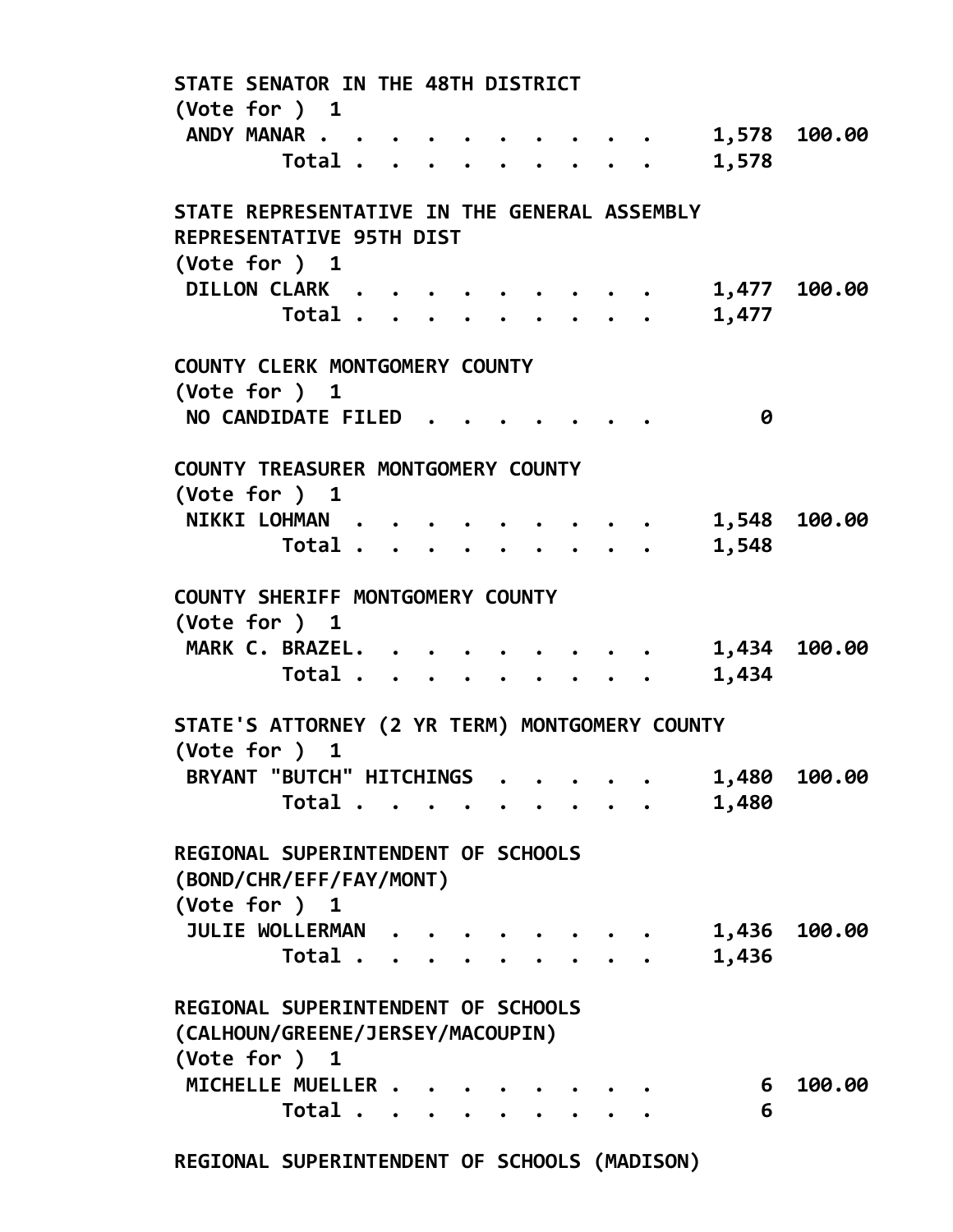STATE SENATOR IN THE 48TH DISTRICT (Vote for ) 1 ANDY MANAR . . . . . . . . . . . 1,578 100.00 Total . . . . . . . . . 1,578 STATE REPRESENTATIVE IN THE GENERAL ASSEMBLY REPRESENTATIVE 95TH DIST (Vote for ) 1 DILLON CLARK . . . . . . . . . . 1,477 100.00 Total . . . . . . . . . 1,477 COUNTY CLERK MONTGOMERY COUNTY (Vote for ) 1 NO CANDIDATE FILED . . . . . . . 0 COUNTY TREASURER MONTGOMERY COUNTY (Vote for ) 1 NIKKI LOHMAN . . . . . . . . . . 1,548 100.00 Total . . . . . . . . . 1,548 COUNTY SHERIFF MONTGOMERY COUNTY (Vote for ) 1 MARK C. BRAZEL. . . . . . . . . 1,434 100.00 Total . . . . . . . . . 1,434 STATE'S ATTORNEY (2 YR TERM) MONTGOMERY COUNTY (Vote for ) 1 BRYANT "BUTCH" HITCHINGS . . . . . 1,480 100.00 Total . . . . . . . . . 1,480 REGIONAL SUPERINTENDENT OF SCHOOLS (BOND/CHR/EFF/FAY/MONT) (Vote for ) 1 JULIE WOLLERMAN . . . . . . . . 1,436 100.00 Total . . . . . . . . . 1,436 REGIONAL SUPERINTENDENT OF SCHOOLS (CALHOUN/GREENE/JERSEY/MACOUPIN) (Vote for ) 1 MICHELLE MUELLER . . . . . . . . . 6 100.00 Total . . . . . . . . . 6 REGIONAL SUPERINTENDENT OF SCHOOLS (MADISON)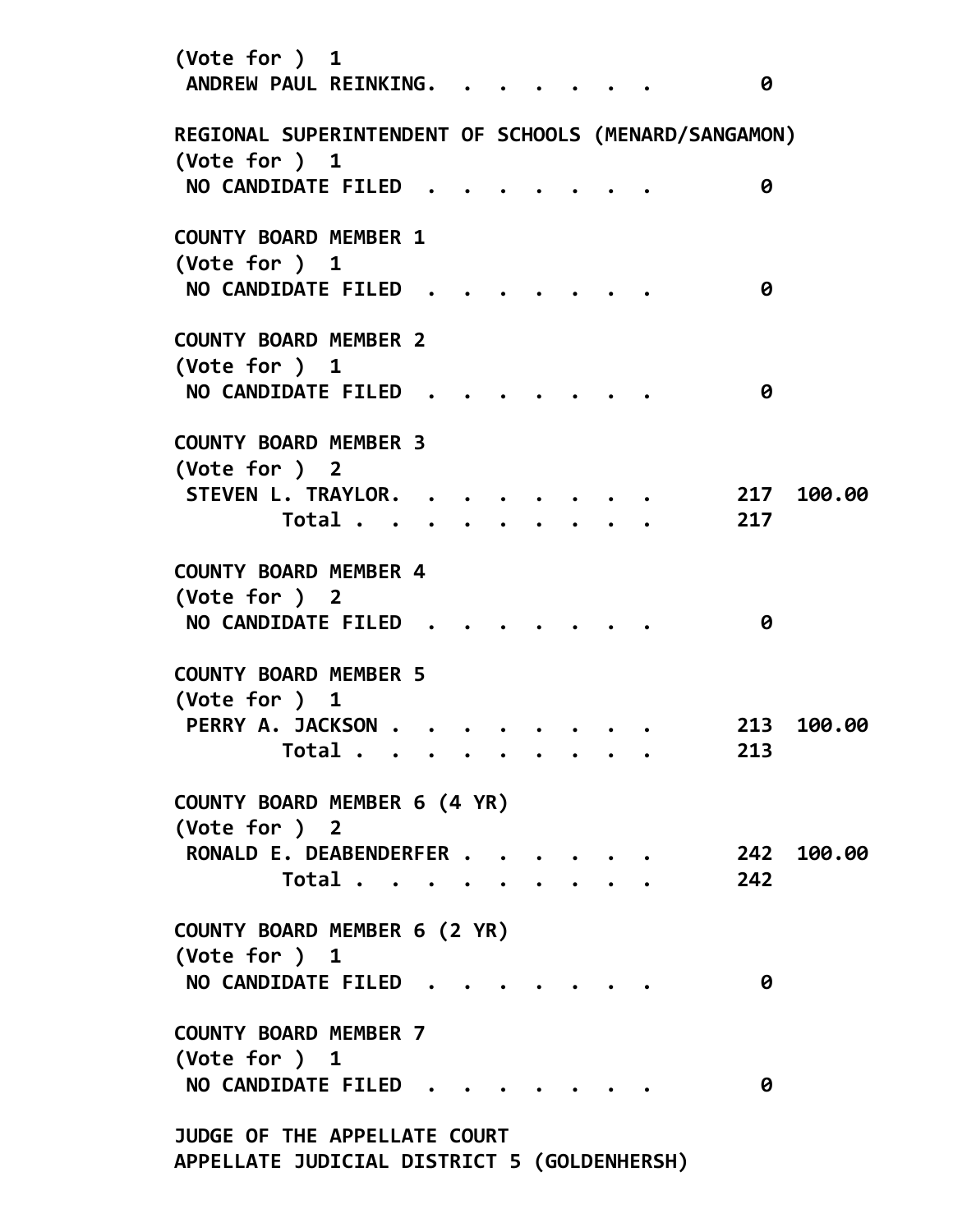| (Vote for $)$ 1<br>ANDREW PAUL REINKING.                                     |       |  |  |  | 0          |            |
|------------------------------------------------------------------------------|-------|--|--|--|------------|------------|
| REGIONAL SUPERINTENDENT OF SCHOOLS (MENARD/SANGAMON)                         |       |  |  |  |            |            |
| $(\text{Vote for })$ 1<br>NO CANDIDATE FILED                                 |       |  |  |  | 0          |            |
| <b>COUNTY BOARD MEMBER 1</b><br>(Vote for $)$ 1<br>NO CANDIDATE FILED        |       |  |  |  | 0          |            |
| <b>COUNTY BOARD MEMBER 2</b><br>$(\text{Vote for })$ 1<br>NO CANDIDATE FILED |       |  |  |  | 0          |            |
| <b>COUNTY BOARD MEMBER 3</b><br>(Vote for ) 2                                |       |  |  |  |            |            |
| STEVEN L. TRAYLOR. .                                                         | Total |  |  |  | 217<br>217 | 100.00     |
| <b>COUNTY BOARD MEMBER 4</b><br>(Vote for ) 2<br>NO CANDIDATE FILED          |       |  |  |  | 0          |            |
| <b>COUNTY BOARD MEMBER 5</b><br>$(\text{Vote for })$ 1                       |       |  |  |  |            |            |
| PERRY A. JACKSON .                                                           | Total |  |  |  | 213<br>213 | 100.00     |
| COUNTY BOARD MEMBER 6 (4 YR)<br>(Vote for ) 2                                |       |  |  |  |            |            |
| RONALD E. DEABENDERFER                                                       | Total |  |  |  | 242        | 242 100.00 |
| COUNTY BOARD MEMBER 6 (2 YR)<br>(Vote for ) 1<br>NO CANDIDATE FILED.         |       |  |  |  | 0          |            |
| <b>COUNTY BOARD MEMBER 7</b><br>(Vote for ) 1                                |       |  |  |  |            |            |
| NO CANDIDATE FILED                                                           |       |  |  |  | 0          |            |
| JUDGE OF THE APPELLATE COURT<br>APPELLATE JUDICIAL DISTRICT 5 (GOLDENHERSH)  |       |  |  |  |            |            |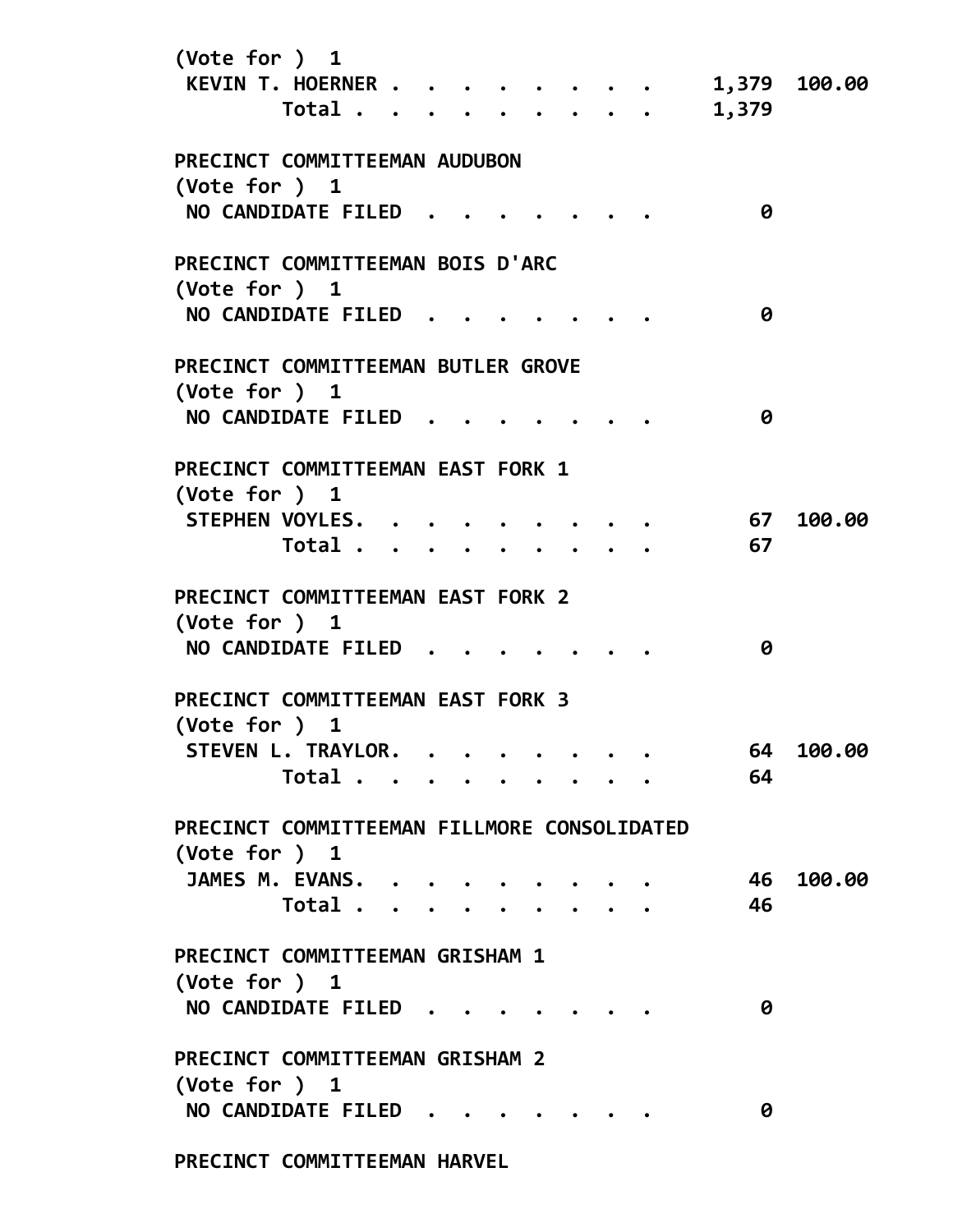| (Vote for ) $1$                                              |  |  |  |                                                   |          |              |
|--------------------------------------------------------------|--|--|--|---------------------------------------------------|----------|--------------|
| KEVIN T. HOERNER<br>Total                                    |  |  |  | $\bullet$ $\bullet$ $\bullet$ $\bullet$ $\bullet$ | 1,379    | 1,379 100.00 |
|                                                              |  |  |  |                                                   |          |              |
| PRECINCT COMMITTEEMAN AUDUBON                                |  |  |  |                                                   |          |              |
| $(\text{Vote for })$ 1<br>NO CANDIDATE FILED                 |  |  |  |                                                   | 0        |              |
| PRECINCT COMMITTEEMAN BOIS D'ARC                             |  |  |  |                                                   |          |              |
| (Vote for $)$ 1<br>NO CANDIDATE FILED.                       |  |  |  |                                                   | 0        |              |
|                                                              |  |  |  |                                                   |          |              |
| PRECINCT COMMITTEEMAN BUTLER GROVE<br>$(\text{Vote for })$ 1 |  |  |  |                                                   |          |              |
| NO CANDIDATE FILED                                           |  |  |  |                                                   | 0        |              |
| PRECINCT COMMITTEEMAN EAST FORK 1<br>(Vote for ) 1           |  |  |  |                                                   |          |              |
| STEPHEN VOYLES.<br>Total                                     |  |  |  |                                                   | 67<br>67 | 100.00       |
|                                                              |  |  |  |                                                   |          |              |
| PRECINCT COMMITTEEMAN EAST FORK 2<br>(Vote for ) 1           |  |  |  |                                                   |          |              |
| NO CANDIDATE FILED                                           |  |  |  |                                                   | 0        |              |
| PRECINCT COMMITTEEMAN EAST FORK 3<br>$(\text{Vote for })$ 1  |  |  |  |                                                   |          |              |
| STEVEN L. TRAYLOR.                                           |  |  |  |                                                   | 64       | 100.00       |
| Total                                                        |  |  |  |                                                   | 64       |              |
| PRECINCT COMMITTEEMAN FILLMORE CONSOLIDATED                  |  |  |  |                                                   |          |              |
| (Vote for $)$ 1                                              |  |  |  |                                                   | 46       | 100.00       |
| JAMES M. EVANS.<br>Total                                     |  |  |  |                                                   | 46       |              |
|                                                              |  |  |  |                                                   |          |              |
| PRECINCT COMMITTEEMAN GRISHAM 1<br>(Vote for ) 1             |  |  |  |                                                   |          |              |
| NO CANDIDATE FILED                                           |  |  |  |                                                   | 0        |              |
| PRECINCT COMMITTEEMAN GRISHAM 2                              |  |  |  |                                                   |          |              |
| (Vote for ) $1$<br>NO CANDIDATE FILED                        |  |  |  |                                                   | 0        |              |
| PRECINCT COMMITTEEMAN HARVEL                                 |  |  |  |                                                   |          |              |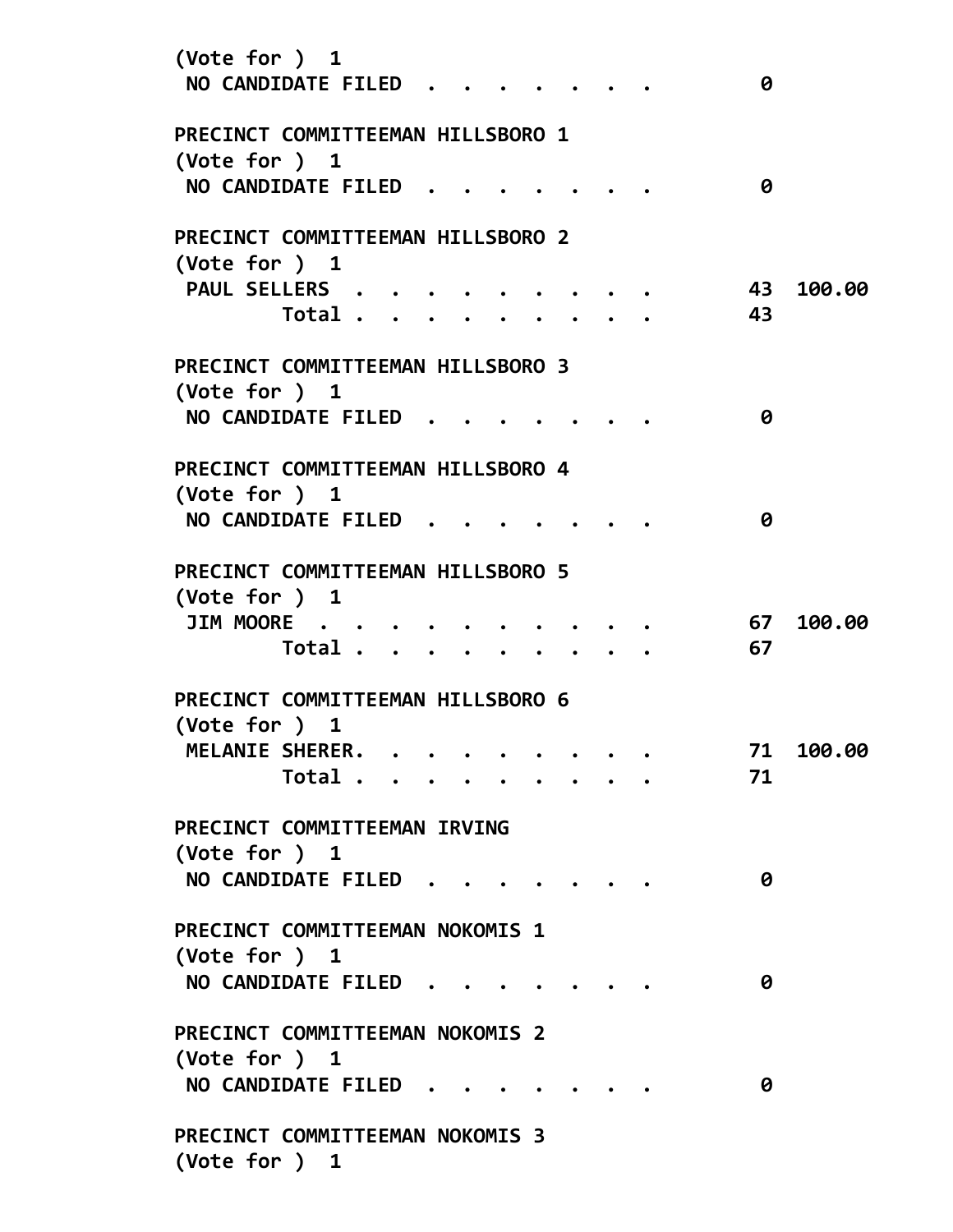| (Vote for ) 1<br>NO CANDIDATE FILED.                        |                               |  |  |  |  | 0        |        |
|-------------------------------------------------------------|-------------------------------|--|--|--|--|----------|--------|
| PRECINCT COMMITTEEMAN HILLSBORO 1<br>$(\text{Vote for })$ 1 |                               |  |  |  |  |          |        |
| NO CANDIDATE FILED.                                         |                               |  |  |  |  | 0        |        |
| PRECINCT COMMITTEEMAN HILLSBORO 2<br>$(\text{Vote for })$ 1 |                               |  |  |  |  |          |        |
| PAUL SELLERS                                                | Total                         |  |  |  |  | 43<br>43 | 100.00 |
| PRECINCT COMMITTEEMAN HILLSBORO 3<br>$(\text{Vote for })$ 1 |                               |  |  |  |  |          |        |
| NO CANDIDATE FILED                                          |                               |  |  |  |  | 0        |        |
| PRECINCT COMMITTEEMAN HILLSBORO 4<br>(Vote for $)$ 1        |                               |  |  |  |  |          |        |
| NO CANDIDATE FILED.                                         |                               |  |  |  |  | 0        |        |
| PRECINCT COMMITTEEMAN HILLSBORO 5<br>$(\text{Vote for })$ 1 |                               |  |  |  |  |          |        |
| <b>JIM MOORE</b>                                            | $\ddot{\phantom{a}}$<br>Total |  |  |  |  | 67<br>67 | 100.00 |
|                                                             |                               |  |  |  |  |          |        |
| PRECINCT COMMITTEEMAN HILLSBORO 6<br>$(\text{Vote for })$ 1 |                               |  |  |  |  |          |        |
| MELANIE SHERER.                                             |                               |  |  |  |  | 71       | 100.00 |
|                                                             | Total                         |  |  |  |  | 71       |        |
| PRECINCT COMMITTEEMAN IRVING<br>(Vote for ) 1               |                               |  |  |  |  |          |        |
| <b>NO CANDIDATE FILED</b>                                   |                               |  |  |  |  | 0        |        |
| PRECINCT COMMITTEEMAN NOKOMIS 1<br>(Vote for $)$ 1          |                               |  |  |  |  |          |        |
| <b>NO CANDIDATE FILED</b>                                   |                               |  |  |  |  | 0        |        |
| PRECINCT COMMITTEEMAN NOKOMIS 2<br>(Vote for $)$ 1          |                               |  |  |  |  |          |        |
| NO CANDIDATE FILED                                          |                               |  |  |  |  | 0        |        |
| PRECINCT COMMITTEEMAN NOKOMIS 3<br>(Note for ) 1            |                               |  |  |  |  |          |        |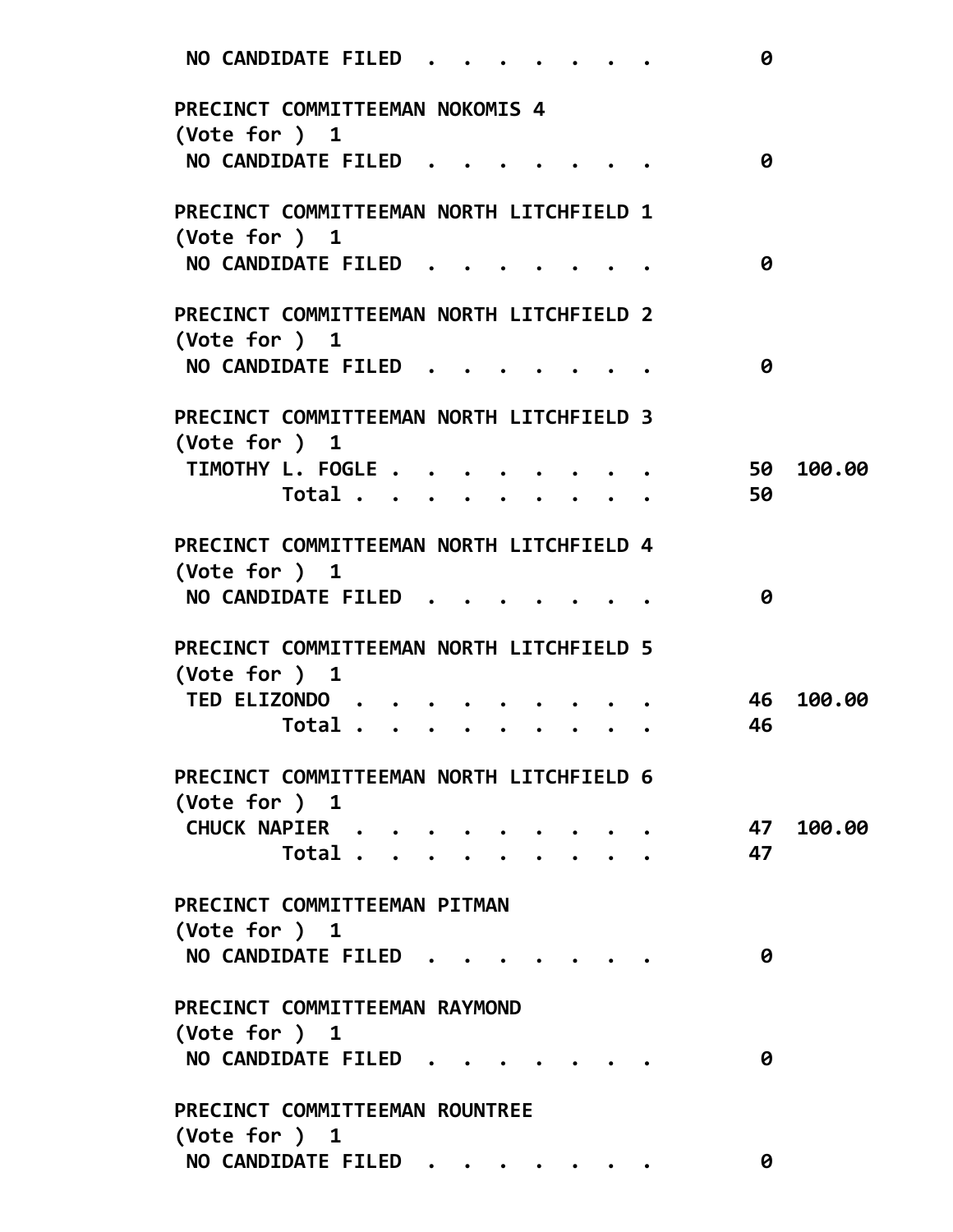| <b>NO CANDIDATE FILED</b>                                          | 0            |
|--------------------------------------------------------------------|--------------|
| PRECINCT COMMITTEEMAN NOKOMIS 4<br>(Vote for ) $1$                 |              |
| NO CANDIDATE FILED                                                 | 0            |
| PRECINCT COMMITTEEMAN NORTH LITCHFIELD 1                           |              |
| $(\text{Vote for })$ 1<br><b>NO CANDIDATE FILED</b>                | 0            |
| PRECINCT COMMITTEEMAN NORTH LITCHFIELD 2                           |              |
| $(\text{Vote for })$ 1                                             |              |
| NO CANDIDATE FILED                                                 | 0            |
| PRECINCT COMMITTEEMAN NORTH LITCHFIELD 3<br>(Note for ) 1          |              |
| TIMOTHY L. FOGLE                                                   | 100.00<br>50 |
| Total                                                              | 50           |
| PRECINCT COMMITTEEMAN NORTH LITCHFIELD 4<br>$(\text{Vote for })$ 1 |              |
| <b>NO CANDIDATE FILED</b>                                          | 0            |
| PRECINCT COMMITTEEMAN NORTH LITCHFIELD 5<br>$(\text{Vote for })$ 1 |              |
| TED ELIZONDO                                                       | 100.00<br>46 |
| Total                                                              | 46           |
| PRECINCT COMMITTEEMAN NORTH LITCHFIELD 6<br>(Vote for $)$ 1        |              |
| CHUCK NAPIER                                                       | 47 100.00    |
| Total                                                              | 47           |
| PRECINCT COMMITTEEMAN PITMAN<br>(Vote for ) 1                      |              |
| NO CANDIDATE FILED                                                 | 0            |
| PRECINCT COMMITTEEMAN RAYMOND<br>(Vote for $)$ 1                   |              |
| NO CANDIDATE FILED                                                 | 0            |
| PRECINCT COMMITTEEMAN ROUNTREE<br>(Vote for ) 1                    |              |
| NO CANDIDATE FILED                                                 | 0            |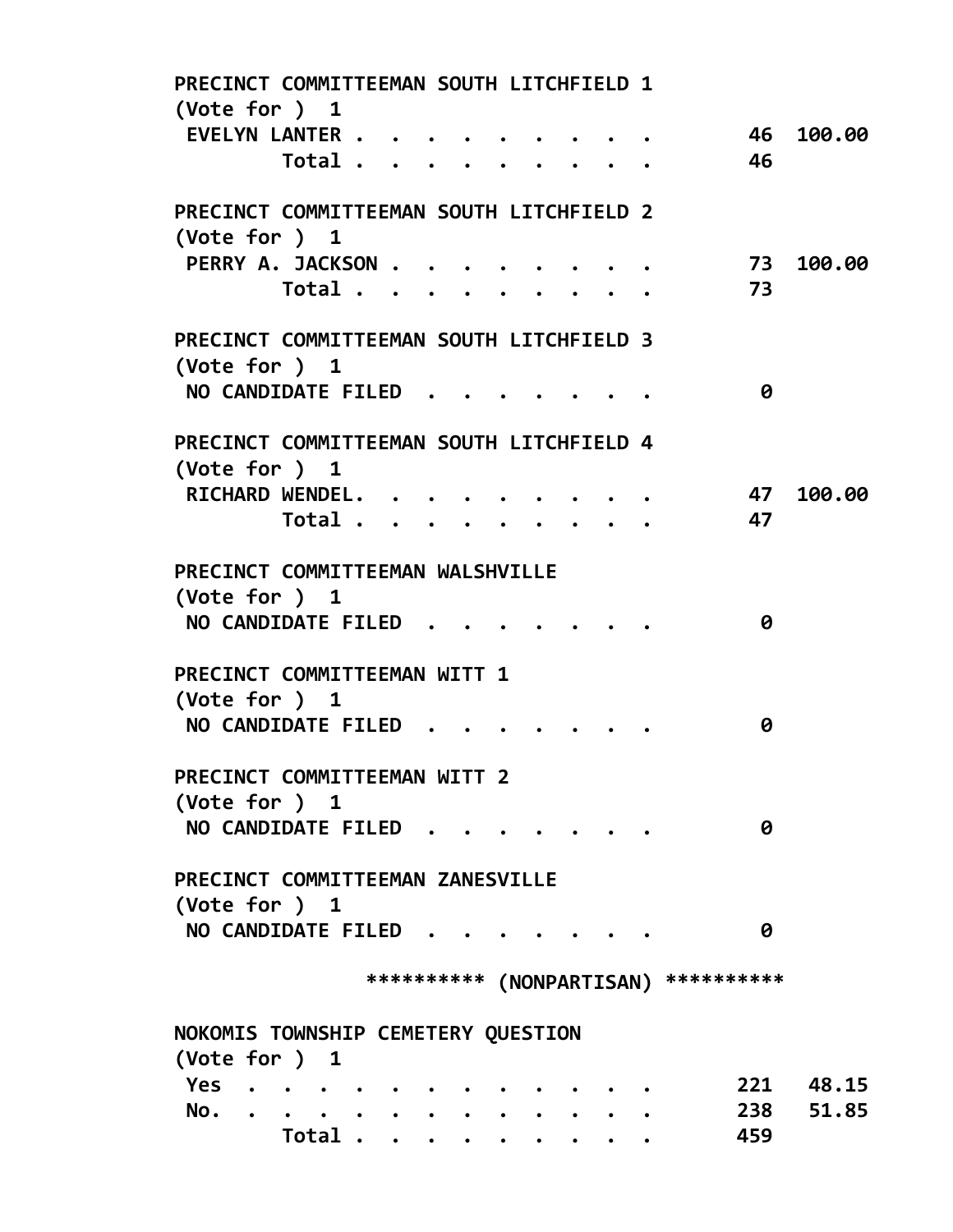| PRECINCT COMMITTEEMAN SOUTH LITCHFIELD 1<br>(Vote for ) 1          |   |       |  |  |  |  |  |  |  |  |  |                                       |           |
|--------------------------------------------------------------------|---|-------|--|--|--|--|--|--|--|--|--|---------------------------------------|-----------|
| EVELYN LANTER                                                      |   |       |  |  |  |  |  |  |  |  |  |                                       | 46 100.00 |
|                                                                    |   | Total |  |  |  |  |  |  |  |  |  | 46                                    |           |
| PRECINCT COMMITTEEMAN SOUTH LITCHFIELD 2                           |   |       |  |  |  |  |  |  |  |  |  |                                       |           |
| (Vote for ) $1$                                                    |   |       |  |  |  |  |  |  |  |  |  |                                       |           |
| PERRY A. JACKSON                                                   |   |       |  |  |  |  |  |  |  |  |  | 73                                    | 100.00    |
|                                                                    |   | Total |  |  |  |  |  |  |  |  |  | 73                                    |           |
| PRECINCT COMMITTEEMAN SOUTH LITCHFIELD 3<br>(Vote for ) $1$        |   |       |  |  |  |  |  |  |  |  |  |                                       |           |
| NO CANDIDATE FILED                                                 |   |       |  |  |  |  |  |  |  |  |  | 0                                     |           |
| PRECINCT COMMITTEEMAN SOUTH LITCHFIELD 4<br>$(\text{Vote for })$ 1 |   |       |  |  |  |  |  |  |  |  |  |                                       |           |
| RICHARD WENDEL.                                                    |   |       |  |  |  |  |  |  |  |  |  | 47                                    | 100.00    |
|                                                                    |   | Total |  |  |  |  |  |  |  |  |  | 47                                    |           |
| PRECINCT COMMITTEEMAN WALSHVILLE<br>(Vote for ) $1$                |   |       |  |  |  |  |  |  |  |  |  |                                       |           |
| NO CANDIDATE FILED                                                 |   |       |  |  |  |  |  |  |  |  |  | 0                                     |           |
| PRECINCT COMMITTEEMAN WITT 1<br>(Vote for $)$ 1                    |   |       |  |  |  |  |  |  |  |  |  |                                       |           |
| NO CANDIDATE FILED                                                 |   |       |  |  |  |  |  |  |  |  |  | 0                                     |           |
| PRECINCT COMMITTEEMAN WITT 2                                       |   |       |  |  |  |  |  |  |  |  |  |                                       |           |
| (Vote for ) 1                                                      |   |       |  |  |  |  |  |  |  |  |  |                                       |           |
| NO CANDIDATE FILED                                                 |   |       |  |  |  |  |  |  |  |  |  | 0                                     |           |
| PRECINCT COMMITTEEMAN ZANESVILLE                                   |   |       |  |  |  |  |  |  |  |  |  |                                       |           |
| (Vote for ) $1$<br>NO CANDIDATE FILED.                             |   |       |  |  |  |  |  |  |  |  |  | 0                                     |           |
|                                                                    |   |       |  |  |  |  |  |  |  |  |  |                                       |           |
|                                                                    |   |       |  |  |  |  |  |  |  |  |  | *********** (NONPARTISAN) *********** |           |
| NOKOMIS TOWNSHIP CEMETERY QUESTION                                 |   |       |  |  |  |  |  |  |  |  |  |                                       |           |
| (Vote for ) 1                                                      |   |       |  |  |  |  |  |  |  |  |  |                                       |           |
| Yes                                                                |   |       |  |  |  |  |  |  |  |  |  |                                       | 221 48.15 |
| No.                                                                | . |       |  |  |  |  |  |  |  |  |  | 238                                   | 51.85     |
|                                                                    |   | Total |  |  |  |  |  |  |  |  |  | 459                                   |           |